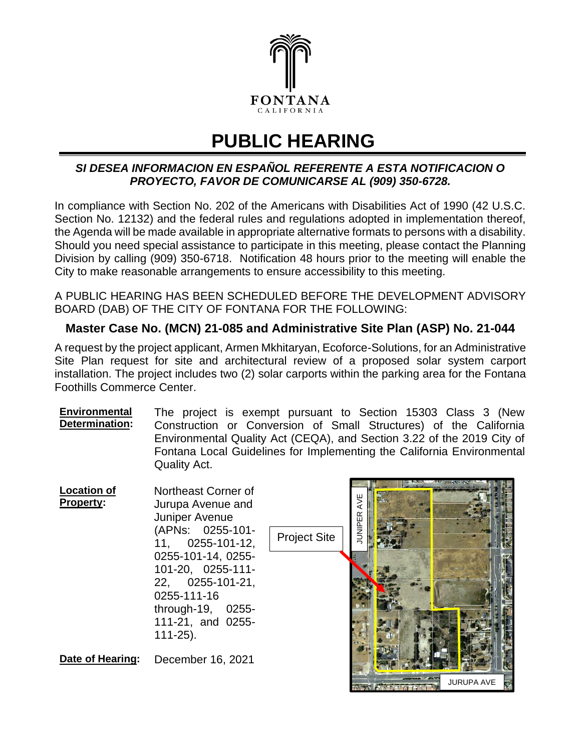

## **PUBLIC HEARING**

## *SI DESEA INFORMACION EN ESPAÑOL REFERENTE A ESTA NOTIFICACION O PROYECTO, FAVOR DE COMUNICARSE AL (909) 350-6728.*

In compliance with Section No. 202 of the Americans with Disabilities Act of 1990 (42 U.S.C. Section No. 12132) and the federal rules and regulations adopted in implementation thereof, the Agenda will be made available in appropriate alternative formats to persons with a disability. Should you need special assistance to participate in this meeting, please contact the Planning Division by calling (909) 350-6718. Notification 48 hours prior to the meeting will enable the City to make reasonable arrangements to ensure accessibility to this meeting.

A PUBLIC HEARING HAS BEEN SCHEDULED BEFORE THE DEVELOPMENT ADVISORY BOARD (DAB) OF THE CITY OF FONTANA FOR THE FOLLOWING:

## **Master Case No. (MCN) 21-085 and Administrative Site Plan (ASP) No. 21-044**

A request by the project applicant, Armen Mkhitaryan, Ecoforce-Solutions, for an Administrative Site Plan request for site and architectural review of a proposed solar system carport installation. The project includes two (2) solar carports within the parking area for the Fontana Foothills Commerce Center.

**Environmental Determination:** The project is exempt pursuant to Section 15303 Class 3 (New Construction or Conversion of Small Structures) of the California Environmental Quality Act (CEQA), and Section 3.22 of the 2019 City of Fontana Local Guidelines for Implementing the California Environmental Quality Act.

| <b>Location of</b><br><b>Property:</b> | Northeast Corner of<br>Jurupa Avenue and<br><b>Juniper Avenue</b><br>(APNs: 0255-101-<br>$11, 0255 - 101 - 12,$<br>0255-101-14, 0255-<br>101-20, 0255-111-<br>22, 0255-101-21,<br>0255-111-16<br>through-19, 0255-<br>111-21, and 0255-<br>$111-25$ ). | <b>Project Site</b> | <b>JNIPER</b> | the contract of the contract of the contract of the contract of the contract of |                   |
|----------------------------------------|--------------------------------------------------------------------------------------------------------------------------------------------------------------------------------------------------------------------------------------------------------|---------------------|---------------|---------------------------------------------------------------------------------|-------------------|
| Date of Hearing:                       | December 16, 2021                                                                                                                                                                                                                                      |                     |               |                                                                                 | <b>JURUPA AVE</b> |